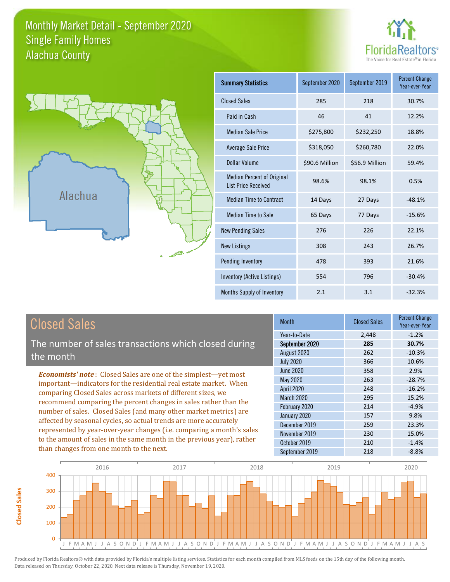### Monthly Market Detail - September 2020 Alachua County Single Family Homes





**Closed Sales**

**Closed Sales** 

| <b>Summary Statistics</b>                                | September 2020 | September 2019 | <b>Percent Change</b><br>Year-over-Year |
|----------------------------------------------------------|----------------|----------------|-----------------------------------------|
| <b>Closed Sales</b>                                      | 285            | 218            | 30.7%                                   |
| Paid in Cash                                             | 46             | 41             | 12.2%                                   |
| <b>Median Sale Price</b>                                 | \$275,800      | \$232,250      | 18.8%                                   |
| <b>Average Sale Price</b>                                | \$318,050      | \$260,780      | 22.0%                                   |
| Dollar Volume                                            | \$90.6 Million | \$56.9 Million | 59.4%                                   |
| Median Percent of Original<br><b>List Price Received</b> | 98.6%          | 98.1%          | 0.5%                                    |
| <b>Median Time to Contract</b>                           | 14 Days        | 27 Days        | $-48.1%$                                |
| <b>Median Time to Sale</b>                               | 65 Days        | 77 Days        | $-15.6%$                                |
| <b>New Pending Sales</b>                                 | 276            | 226            | 22.1%                                   |
| <b>New Listings</b>                                      | 308            | 243            | 26.7%                                   |
| Pending Inventory                                        | 478            | 393            | 21.6%                                   |
| Inventory (Active Listings)                              | 554            | 796            | $-30.4%$                                |
| Months Supply of Inventory                               | 2.1            | 3.1            | $-32.3%$                                |

| <b>Closed Sales</b>                                                                                                                                                                                                                                                                                                                                                                                                                                                                                                                                                                                                      | <b>Month</b>                                                                                                                                           | <b>Closed Sales</b>                                                | <b>Percent Change</b><br>Year-over-Year                                                          |
|--------------------------------------------------------------------------------------------------------------------------------------------------------------------------------------------------------------------------------------------------------------------------------------------------------------------------------------------------------------------------------------------------------------------------------------------------------------------------------------------------------------------------------------------------------------------------------------------------------------------------|--------------------------------------------------------------------------------------------------------------------------------------------------------|--------------------------------------------------------------------|--------------------------------------------------------------------------------------------------|
| The number of sales transactions which closed during<br>the month                                                                                                                                                                                                                                                                                                                                                                                                                                                                                                                                                        | Year-to-Date<br>September 2020<br>August 2020<br><b>July 2020</b>                                                                                      | 2,448<br>285<br>262<br>366                                         | $-1.2%$<br>30.7%<br>$-10.3%$<br>10.6%                                                            |
| <b>Economists' note:</b> Closed Sales are one of the simplest-yet most<br>important—indicators for the residential real estate market. When<br>comparing Closed Sales across markets of different sizes, we<br>recommend comparing the percent changes in sales rather than the<br>number of sales. Closed Sales (and many other market metrics) are<br>affected by seasonal cycles, so actual trends are more accurately<br>represented by year-over-year changes (i.e. comparing a month's sales<br>to the amount of sales in the same month in the previous year), rather<br>than changes from one month to the next. | June 2020<br>May 2020<br>April 2020<br>March 2020<br>February 2020<br>January 2020<br>December 2019<br>November 2019<br>October 2019<br>September 2019 | 358<br>263<br>248<br>295<br>214<br>157<br>259<br>230<br>210<br>218 | 2.9%<br>$-28.7%$<br>$-16.2%$<br>15.2%<br>$-4.9%$<br>9.8%<br>23.3%<br>15.0%<br>$-1.4%$<br>$-8.8%$ |

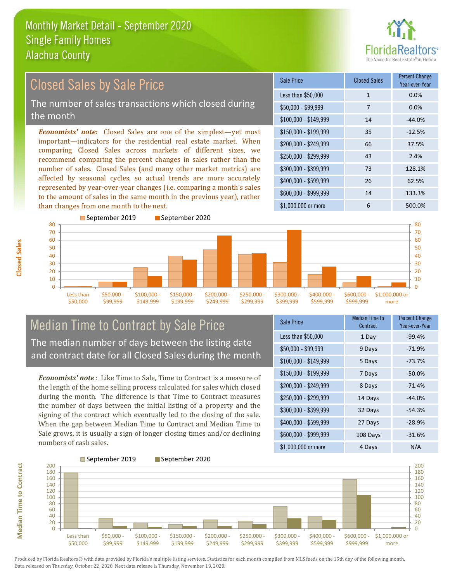

#### *Economists' note:* Closed Sales are one of the simplest—yet most important—indicators for the residential real estate market. When comparing Closed Sales across markets of different sizes, we recommend comparing the percent changes in sales rather than the number of sales. Closed Sales (and many other market metrics) are affected by seasonal cycles, so actual trends are more accurately represented by year-over-year changes (i.e. comparing a month's sales to the amount of sales in the same month in the previous year), rather than changes from one month to the next. \$1,000,000 or more 6 500.0% \$250,000 - \$299,999 43 2.4% \$300,000 - \$399,999 73 128.1% \$400,000 - \$599,999 26 62.5% \$600,000 - \$999,999 14 133.3% \$150,000 - \$199,999 35 -12.5% \$200,000 - \$249,999 66 37.5%  $$100,000 - $149,999$  14  $-44.0\%$ Sale Price Closed Sales Percent Change Year-over-Year Less than \$50,000 1 1 0.0% \$50,000 - \$99,999 7 0.0% 80 ■September 2019 ■September 2020 70 80 Closed Sales by Sale Price The number of sales transactions which closed during the month



# Median Time to Contract by Sale Price The median number of days between the listing date and contract date for all Closed Sales during the month

*Economists' note* : Like Time to Sale, Time to Contract is a measure of the length of the home selling process calculated for sales which closed during the month. The difference is that Time to Contract measures the number of days between the initial listing of a property and the signing of the contract which eventually led to the closing of the sale. When the gap between Median Time to Contract and Median Time to Sale grows, it is usually a sign of longer closing times and/or declining numbers of cash sales.

| <b>Sale Price</b>     | Median Time to<br>Contract | <b>Percent Change</b><br>Year-over-Year |
|-----------------------|----------------------------|-----------------------------------------|
| Less than \$50,000    | 1 Day                      | $-99.4%$                                |
| $$50,000 - $99,999$   | 9 Days                     | $-71.9%$                                |
| $$100,000 - $149,999$ | 5 Days                     | $-73.7%$                                |
| $$150,000 - $199,999$ | 7 Days                     | $-50.0%$                                |
| \$200,000 - \$249,999 | 8 Days                     | $-71.4%$                                |
| \$250,000 - \$299,999 | 14 Days                    | $-44.0%$                                |
| \$300,000 - \$399,999 | 32 Days                    | $-54.3%$                                |
| \$400,000 - \$599,999 | 27 Days                    | $-28.9%$                                |
| \$600,000 - \$999,999 | 108 Days                   | $-31.6%$                                |
| \$1,000,000 or more   | 4 Days                     | N/A                                     |

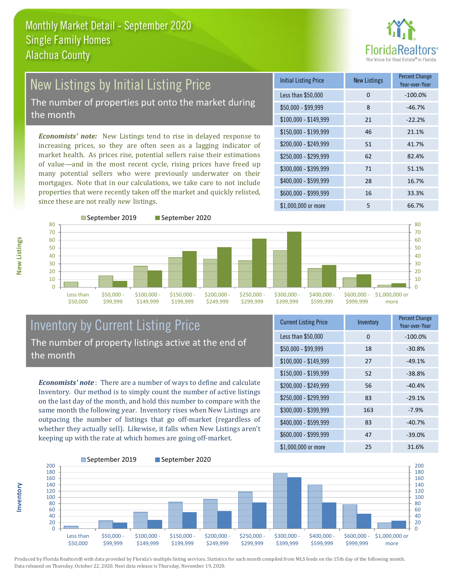

#### New Listings by Initial Listing Price The number of properties put onto the market during the month

*Economists' note:* New Listings tend to rise in delayed response to increasing prices, so they are often seen as a lagging indicator of market health. As prices rise, potential sellers raise their estimations of value—and in the most recent cycle, rising prices have freed up many potential sellers who were previously underwater on their mortgages. Note that in our calculations, we take care to not include properties that were recently taken off the market and quickly relisted, since these are not really *new* listings.

| <b>Initial Listing Price</b> | <b>New Listings</b> | <b>Percent Change</b><br>Year-over-Year |
|------------------------------|---------------------|-----------------------------------------|
| Less than \$50,000           | $\Omega$            | $-100.0%$                               |
| \$50,000 - \$99,999          | 8                   | $-46.7%$                                |
| $$100,000 - $149,999$        | 21                  | $-22.2%$                                |
| $$150,000 - $199,999$        | 46                  | 21.1%                                   |
| \$200,000 - \$249,999        | 51                  | 41.7%                                   |
| \$250,000 - \$299,999        | 62                  | 82.4%                                   |
| \$300,000 - \$399,999        | 71                  | 51.1%                                   |
| \$400,000 - \$599,999        | 28                  | 16.7%                                   |
| \$600,000 - \$999,999        | 16                  | 33.3%                                   |
| \$1,000,000 or more          | 5                   | 66.7%                                   |



# Inventory by Current Listing Price The number of property listings active at the end of the month

*Economists' note* : There are a number of ways to define and calculate Inventory. Our method is to simply count the number of active listings on the last day of the month, and hold this number to compare with the same month the following year. Inventory rises when New Listings are outpacing the number of listings that go off-market (regardless of whether they actually sell). Likewise, it falls when New Listings aren't keeping up with the rate at which homes are going off-market.

| <b>Current Listing Price</b> | Inventory | <b>Percent Change</b><br>Year-over-Year |
|------------------------------|-----------|-----------------------------------------|
| Less than \$50,000           | $\Omega$  | $-100.0%$                               |
| $$50,000 - $99,999$          | 18        | $-30.8%$                                |
| $$100,000 - $149,999$        | 27        | $-49.1%$                                |
| $$150,000 - $199,999$        | 52        | $-38.8%$                                |
| \$200,000 - \$249,999        | 56        | $-40.4%$                                |
| \$250,000 - \$299,999        | 83        | $-29.1%$                                |
| \$300,000 - \$399,999        | 163       | $-7.9%$                                 |
| $$400,000 - $599,999$        | 83        | $-40.7%$                                |
| \$600,000 - \$999,999        | 47        | $-39.0%$                                |
| \$1,000,000 or more          | 25        | 31.6%                                   |



Produced by Florida Realtors® with data provided by Florida's multiple listing services. Statistics for each month compiled from MLS feeds on the 15th day of the following month. Data released on Thursday, October 22, 2020. Next data release is Thursday, November 19, 2020.

**Inventory**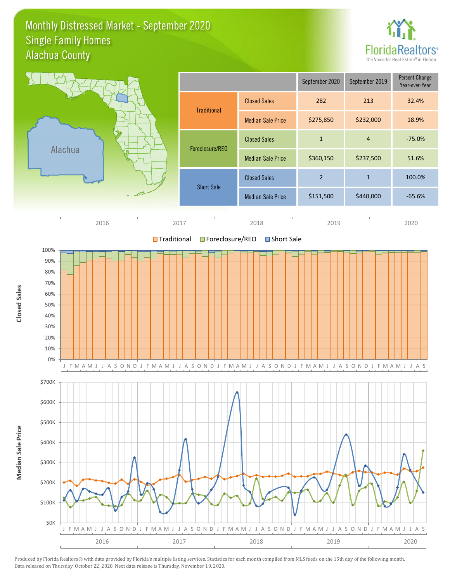#### Monthly Distressed Market - September 2020 Alachua County Single Family Homes



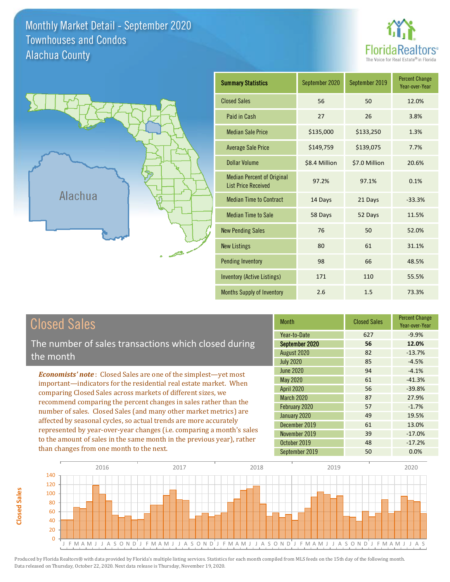Monthly Market Detail - September 2020 Alachua County Townhouses and Condos





| <b>Summary Statistics</b>                                       | September 2020 | September 2019 | <b>Percent Change</b><br>Year-over-Year |
|-----------------------------------------------------------------|----------------|----------------|-----------------------------------------|
| <b>Closed Sales</b>                                             | 56             | 50             | 12.0%                                   |
| Paid in Cash                                                    | 27             | 26             | 3.8%                                    |
| <b>Median Sale Price</b>                                        | \$135,000      | \$133,250      | 1.3%                                    |
| <b>Average Sale Price</b>                                       | \$149,759      | \$139,075      | 7.7%                                    |
| Dollar Volume                                                   | \$8.4 Million  | \$7.0 Million  | 20.6%                                   |
| <b>Median Percent of Original</b><br><b>List Price Received</b> | 97.2%          | 97.1%          | 0.1%                                    |
| <b>Median Time to Contract</b>                                  | 14 Days        | 21 Days        | $-33.3%$                                |
| <b>Median Time to Sale</b>                                      | 58 Days        | 52 Days        | 11.5%                                   |
| <b>New Pending Sales</b>                                        | 76             | 50             | 52.0%                                   |
| <b>New Listings</b>                                             | 80             | 61             | 31.1%                                   |
| <b>Pending Inventory</b>                                        | 98             | 66             | 48.5%                                   |
| <b>Inventory (Active Listings)</b>                              | 171            | 110            | 55.5%                                   |
| <b>Months Supply of Inventory</b>                               | 2.6            | 1.5            | 73.3%                                   |

The number of sales transactions which closed during the month

*Economists' note* : Closed Sales are one of the simplest—yet most important—indicators for the residential real estate market. When comparing Closed Sales across markets of different sizes, we recommend comparing the percent changes in sales rather than the number of sales. Closed Sales (and many other market metrics) are affected by seasonal cycles, so actual trends are more accurately represented by year-over-year changes (i.e. comparing a month's sales to the amount of sales in the same month in the previous year), rather than changes from one month to the next.

| <b>Month</b>      | <b>Closed Sales</b> | <b>Percent Change</b><br>Year-over-Year |
|-------------------|---------------------|-----------------------------------------|
| Year-to-Date      | 627                 | $-9.9%$                                 |
| September 2020    | 56                  | 12.0%                                   |
| August 2020       | 82                  | $-13.7%$                                |
| <b>July 2020</b>  | 85                  | $-4.5%$                                 |
| <b>June 2020</b>  | 94                  | $-4.1%$                                 |
| <b>May 2020</b>   | 61                  | $-41.3%$                                |
| <b>April 2020</b> | 56                  | $-39.8%$                                |
| <b>March 2020</b> | 87                  | 27.9%                                   |
| February 2020     | 57                  | $-1.7%$                                 |
| January 2020      | 49                  | 19.5%                                   |
| December 2019     | 61                  | 13.0%                                   |
| November 2019     | 39                  | $-17.0%$                                |
| October 2019      | 48                  | $-17.2%$                                |
| September 2019    | 50                  | 0.0%                                    |

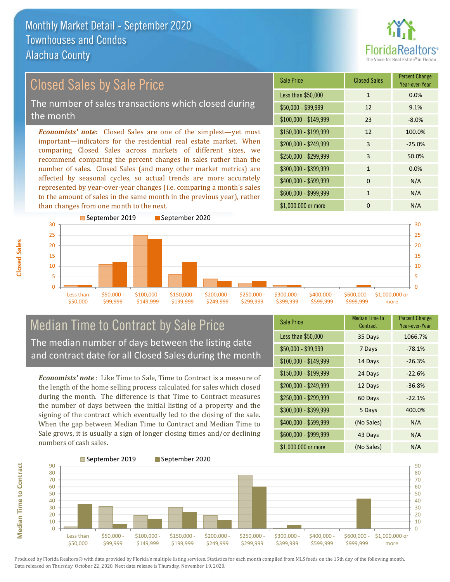than changes from one month to the next.



#### *Economists' note:* Closed Sales are one of the simplest—yet most important—indicators for the residential real estate market. When comparing Closed Sales across markets of different sizes, we recommend comparing the percent changes in sales rather than the number of sales. Closed Sales (and many other market metrics) are affected by seasonal cycles, so actual trends are more accurately represented by year-over-year changes (i.e. comparing a month's sales to the amount of sales in the same month in the previous year), rather \$250,000 - \$299,999 3 50.0% \$300,000 - \$399,999 1 0.0%  $$400,000 - $599,999$  0 N/A \$600,000 - \$999,999 1 1 N/A \$150,000 - \$199,999 12 100.0% \$200,000 - \$249,999 3 -25.0%  $$100,000 - $149,999$  23 -8.0% Sale Price Closed Sales Percent Change Year-over-Year Less than \$50,000 1 1 0.0%  $$50,000 - $99,999$  12 9.1% Closed Sales by Sale Price The number of sales transactions which closed during the month



# Median Time to Contract by Sale Price The median number of days between the listing date and contract date for all Closed Sales during the month

*Economists' note* : Like Time to Sale, Time to Contract is a measure of the length of the home selling process calculated for sales which closed during the month. The difference is that Time to Contract measures the number of days between the initial listing of a property and the signing of the contract which eventually led to the closing of the sale. When the gap between Median Time to Contract and Median Time to Sale grows, it is usually a sign of longer closing times and/or declining numbers of cash sales.

| <b>Sale Price</b>     | <b>Median Time to</b><br>Contract | <b>Percent Change</b><br>Year-over-Year |
|-----------------------|-----------------------------------|-----------------------------------------|
| Less than \$50,000    | 35 Days                           | 1066.7%                                 |
| $$50,000 - $99,999$   | 7 Days                            | $-78.1%$                                |
| $$100,000 - $149,999$ | 14 Days                           | $-26.3%$                                |
| $$150,000 - $199,999$ | 24 Days                           | $-22.6%$                                |
| \$200,000 - \$249,999 | 12 Days                           | $-36.8%$                                |
| \$250,000 - \$299,999 | 60 Days                           | $-22.1%$                                |
| \$300,000 - \$399,999 | 5 Days                            | 400.0%                                  |
| \$400,000 - \$599,999 | (No Sales)                        | N/A                                     |
| \$600,000 - \$999,999 | 43 Days                           | N/A                                     |
| \$1,000,000 or more   | (No Sales)                        | N/A                                     |

\$1,000,000 or more 0 0 N/A

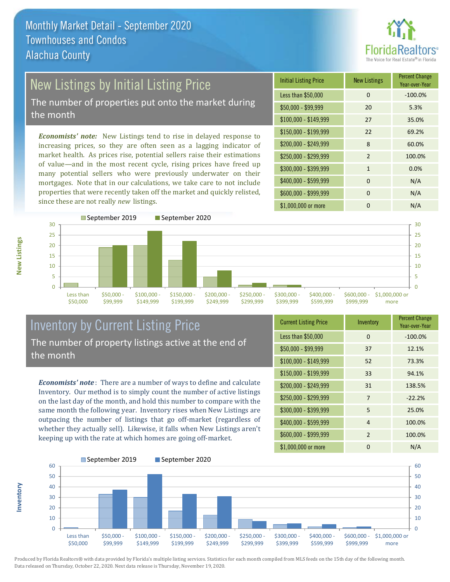

# New Listings by Initial Listing Price

The number of properties put onto the market during the month

*Economists' note:* New Listings tend to rise in delayed response to increasing prices, so they are often seen as a lagging indicator of market health. As prices rise, potential sellers raise their estimations of value—and in the most recent cycle, rising prices have freed up many potential sellers who were previously underwater on their mortgages. Note that in our calculations, we take care to not include properties that were recently taken off the market and quickly relisted, since these are not really *new* listings.

| <b>Initial Listing Price</b> | <b>New Listings</b> | <b>Percent Change</b><br>Year-over-Year |
|------------------------------|---------------------|-----------------------------------------|
| Less than \$50,000           | $\Omega$            | $-100.0%$                               |
| $$50,000 - $99,999$          | 20                  | 5.3%                                    |
| \$100,000 - \$149,999        | 27                  | 35.0%                                   |
| $$150,000 - $199,999$        | 22                  | 69.2%                                   |
| \$200,000 - \$249,999        | 8                   | 60.0%                                   |
| \$250,000 - \$299,999        | $\overline{2}$      | 100.0%                                  |
| \$300,000 - \$399,999        | $\mathbf{1}$        | 0.0%                                    |
| \$400,000 - \$599,999        | $\Omega$            | N/A                                     |
| \$600,000 - \$999,999        | 0                   | N/A                                     |
| \$1,000,000 or more          | O                   | N/A                                     |



# Inventory by Current Listing Price The number of property listings active at the end of the month

*Economists' note* : There are a number of ways to define and calculate Inventory. Our method is to simply count the number of active listings on the last day of the month, and hold this number to compare with the same month the following year. Inventory rises when New Listings are outpacing the number of listings that go off-market (regardless of whether they actually sell). Likewise, it falls when New Listings aren't keeping up with the rate at which homes are going off-market.

| <b>Current Listing Price</b> | Inventory | <b>Percent Change</b><br>Year-over-Year |
|------------------------------|-----------|-----------------------------------------|
| Less than \$50,000           | $\Omega$  | $-100.0%$                               |
| $$50,000 - $99,999$          | 37        | 12.1%                                   |
| $$100,000 - $149,999$        | 52        | 73.3%                                   |
| $$150,000 - $199,999$        | 33        | 94.1%                                   |
| \$200,000 - \$249,999        | 31        | 138.5%                                  |
| \$250,000 - \$299,999        | 7         | $-22.2%$                                |
| \$300,000 - \$399,999        | 5         | 25.0%                                   |
| \$400,000 - \$599,999        | 4         | 100.0%                                  |
| \$600,000 - \$999,999        | 2         | 100.0%                                  |
| \$1,000,000 or more          | ŋ         | N/A                                     |



Produced by Florida Realtors® with data provided by Florida's multiple listing services. Statistics for each month compiled from MLS feeds on the 15th day of the following month. Data released on Thursday, October 22, 2020. Next data release is Thursday, November 19, 2020.

**Inventory**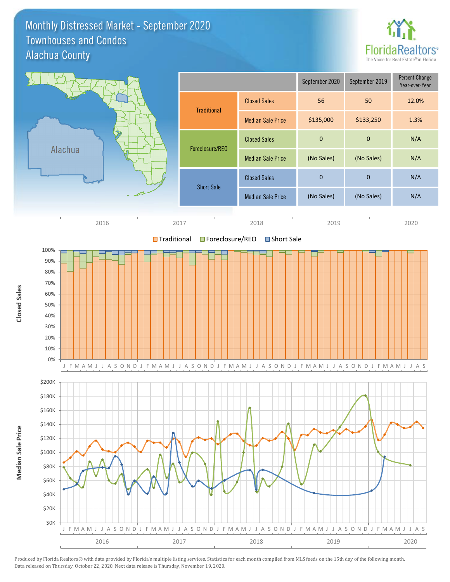#### Monthly Distressed Market - September 2020 Alachua County Townhouses and Condos



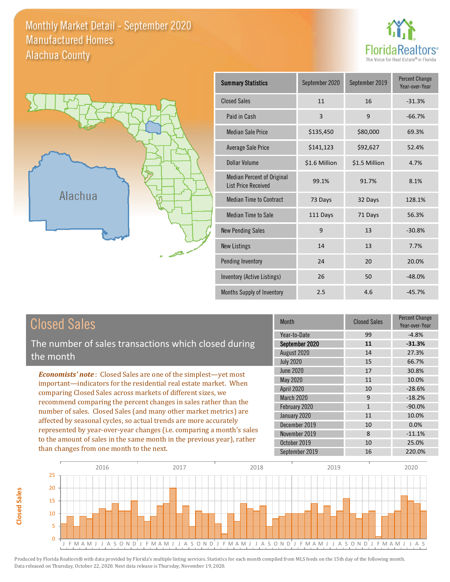### Monthly Market Detail - September 2020 Alachua County Manufactured Homes





**Closed Sales**

**Closed Sales** 

| <b>Summary Statistics</b>                                | September 2020 | September 2019 | <b>Percent Change</b><br>Year-over-Year |
|----------------------------------------------------------|----------------|----------------|-----------------------------------------|
| <b>Closed Sales</b>                                      | 11             | 16             | $-31.3%$                                |
| Paid in Cash                                             | 3              | 9              | $-66.7%$                                |
| <b>Median Sale Price</b>                                 | \$135,450      | \$80,000       | 69.3%                                   |
| <b>Average Sale Price</b>                                | \$141,123      | \$92,627       | 52.4%                                   |
| Dollar Volume                                            | \$1.6 Million  | \$1.5 Million  | 4.7%                                    |
| Median Percent of Original<br><b>List Price Received</b> | 99.1%          | 91.7%          | 8.1%                                    |
| <b>Median Time to Contract</b>                           | 73 Days        | 32 Days        | 128.1%                                  |
| <b>Median Time to Sale</b>                               | 111 Days       | 71 Days        | 56.3%                                   |
| <b>New Pending Sales</b>                                 | 9              | 13             | $-30.8%$                                |
| <b>New Listings</b>                                      | 14             | 13             | 7.7%                                    |
| <b>Pending Inventory</b>                                 | 24             | 20             | 20.0%                                   |
| Inventory (Active Listings)                              | 26             | 50             | $-48.0%$                                |
| Months Supply of Inventory                               | 2.5            | 4.6            | $-45.7%$                                |

| <b>Closed Sales</b>                                                                                                                                                                                                                                                                                                                                 | <b>Month</b>                                  | <b>Closed Sales</b> | <b>Percent Change</b><br>Year-over-Year |
|-----------------------------------------------------------------------------------------------------------------------------------------------------------------------------------------------------------------------------------------------------------------------------------------------------------------------------------------------------|-----------------------------------------------|---------------------|-----------------------------------------|
| The number of sales transactions which closed during                                                                                                                                                                                                                                                                                                | Year-to-Date<br>September 2020<br>August 2020 | 99<br>11<br>14      | $-4.8%$<br>$-31.3%$<br>27.3%            |
| the month                                                                                                                                                                                                                                                                                                                                           | <b>July 2020</b>                              | 15                  | 66.7%                                   |
| <b>Economists' note:</b> Closed Sales are one of the simplest—yet most                                                                                                                                                                                                                                                                              | June 2020                                     | 17                  | 30.8%                                   |
| important—indicators for the residential real estate market. When                                                                                                                                                                                                                                                                                   | May 2020                                      | 11                  | 10.0%                                   |
| comparing Closed Sales across markets of different sizes, we<br>recommend comparing the percent changes in sales rather than the<br>number of sales. Closed Sales (and many other market metrics) are<br>affected by seasonal cycles, so actual trends are more accurately<br>represented by year-over-year changes (i.e. comparing a month's sales | April 2020                                    | 10                  | $-28.6%$                                |
|                                                                                                                                                                                                                                                                                                                                                     | March 2020                                    | 9                   | $-18.2%$                                |
|                                                                                                                                                                                                                                                                                                                                                     | February 2020                                 | $\mathbf{1}$        | $-90.0\%$                               |
|                                                                                                                                                                                                                                                                                                                                                     | January 2020                                  | 11                  | 10.0%                                   |
|                                                                                                                                                                                                                                                                                                                                                     | December 2019                                 | 10                  | 0.0%                                    |
|                                                                                                                                                                                                                                                                                                                                                     | November 2019                                 | 8                   | $-11.1%$                                |
| to the amount of sales in the same month in the previous year), rather                                                                                                                                                                                                                                                                              | October 2019                                  | 10                  | 25.0%                                   |
| than changes from one month to the next.                                                                                                                                                                                                                                                                                                            | September 2019                                | 16                  | 220.0%                                  |

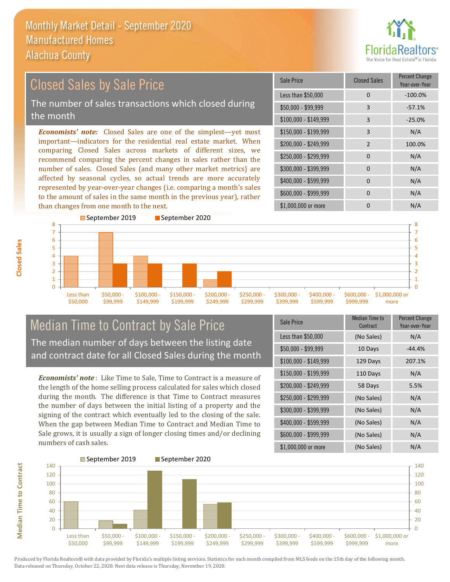

#### *Economists' note:* Closed Sales are one of the simplest—yet most important—indicators for the residential real estate market. When comparing Closed Sales across markets of different sizes, we recommend comparing the percent changes in sales rather than the number of sales. Closed Sales (and many other market metrics) are affected by seasonal cycles, so actual trends are more accurately represented by year-over-year changes (i.e. comparing a month's sales to the amount of sales in the same month in the previous year), rather than changes from one month to the next. \$1,000,000 or more 0 0 N/A \$250,000 - \$299,999 0 0 N/A \$300,000 - \$399,999 0 0 N/A  $$400,000 - $599,999$  0 N/A \$600,000 - \$999,999 0 0 N/A \$150,000 - \$199,999 3 N/A \$200,000 - \$249,999 2 100.0% \$100,000 - \$149,999 3 -25.0% Sale Price Closed Sales Percent Change Year-over-Year Less than \$50,000 0 0 -100.0% \$50,000 - \$99,999 3 -57.1% Closed Sales by Sale Price The number of sales transactions which closed during the month



# Median Time to Contract by Sale Price The median number of days between the listing date and contract date for all Closed Sales during the month

*Economists' note* : Like Time to Sale, Time to Contract is a measure of the length of the home selling process calculated for sales which closed during the month. The difference is that Time to Contract measures the number of days between the initial listing of a property and the signing of the contract which eventually led to the closing of the sale. When the gap between Median Time to Contract and Median Time to Sale grows, it is usually a sign of longer closing times and/or declining numbers of cash sales.

| Sale Price            | Median Time to<br>Contract | <b>Percent Change</b><br>Year-over-Year |
|-----------------------|----------------------------|-----------------------------------------|
| Less than \$50,000    | (No Sales)                 | N/A                                     |
| $$50,000 - $99,999$   | 10 Days                    | $-44.4%$                                |
| $$100,000 - $149,999$ | 129 Days                   | 207.1%                                  |
| \$150,000 - \$199,999 | 110 Days                   | N/A                                     |
| \$200,000 - \$249,999 | 58 Days                    | 5.5%                                    |
| \$250,000 - \$299,999 | (No Sales)                 | N/A                                     |
| \$300,000 - \$399,999 | (No Sales)                 | N/A                                     |
| \$400,000 - \$599,999 | (No Sales)                 | N/A                                     |
| \$600,000 - \$999,999 | (No Sales)                 | N/A                                     |
| \$1,000,000 or more   | (No Sales)                 | N/A                                     |



Produced by Florida Realtors® with data provided by Florida's multiple listing services. Statistics for each month compiled from MLS feeds on the 15th day of the following month. Data released on Thursday, October 22, 2020. Next data release is Thursday, November 19, 2020.

**Median Time to Contract**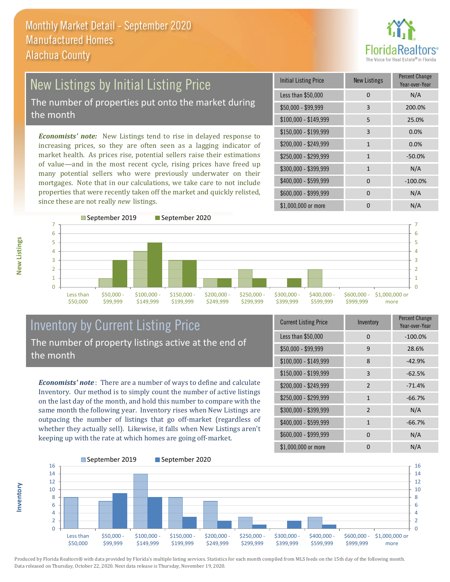

### New Listings by Initial Listing Price The number of properties put onto the market during the month

*Economists' note:* New Listings tend to rise in delayed response to increasing prices, so they are often seen as a lagging indicator of market health. As prices rise, potential sellers raise their estimations of value—and in the most recent cycle, rising prices have freed up many potential sellers who were previously underwater on their mortgages. Note that in our calculations, we take care to not include properties that were recently taken off the market and quickly relisted, since these are not really *new* listings.

| <b>Initial Listing Price</b> | <b>New Listings</b> | <b>Percent Change</b><br>Year-over-Year |
|------------------------------|---------------------|-----------------------------------------|
| Less than \$50,000           | 0                   | N/A                                     |
| \$50,000 - \$99,999          | 3                   | 200.0%                                  |
| $$100,000 - $149,999$        | 5                   | 25.0%                                   |
| \$150,000 - \$199,999        | 3                   | 0.0%                                    |
| \$200,000 - \$249,999        | $\mathbf{1}$        | 0.0%                                    |
| \$250,000 - \$299,999        | 1                   | $-50.0%$                                |
| \$300,000 - \$399,999        | 1                   | N/A                                     |
| \$400,000 - \$599,999        | $\Omega$            | $-100.0%$                               |
| \$600,000 - \$999,999        | $\Omega$            | N/A                                     |
| \$1,000,000 or more          |                     | N/A                                     |



# Inventory by Current Listing Price The number of property listings active at the end of the month

*Economists' note* : There are a number of ways to define and calculate Inventory. Our method is to simply count the number of active listings on the last day of the month, and hold this number to compare with the same month the following year. Inventory rises when New Listings are outpacing the number of listings that go off-market (regardless of whether they actually sell). Likewise, it falls when New Listings aren't keeping up with the rate at which homes are going off-market.

| <b>Current Listing Price</b> | Inventory      | Percent Change<br>Year-over-Year |
|------------------------------|----------------|----------------------------------|
| Less than \$50,000           | 0              | $-100.0%$                        |
| $$50,000 - $99,999$          | 9              | 28.6%                            |
| $$100,000 - $149,999$        | 8              | $-42.9%$                         |
| $$150,000 - $199,999$        | 3              | $-62.5%$                         |
| \$200,000 - \$249,999        | $\overline{2}$ | $-71.4%$                         |
| \$250,000 - \$299,999        | $\mathbf{1}$   | $-66.7%$                         |
| \$300,000 - \$399,999        | $\overline{2}$ | N/A                              |
| \$400,000 - \$599,999        | $\mathbf{1}$   | $-66.7%$                         |
| \$600,000 - \$999,999        | U              | N/A                              |
| \$1,000,000 or more          | n              | N/A                              |



Produced by Florida Realtors® with data provided by Florida's multiple listing services. Statistics for each month compiled from MLS feeds on the 15th day of the following month. Data released on Thursday, October 22, 2020. Next data release is Thursday, November 19, 2020.

**Inventory**